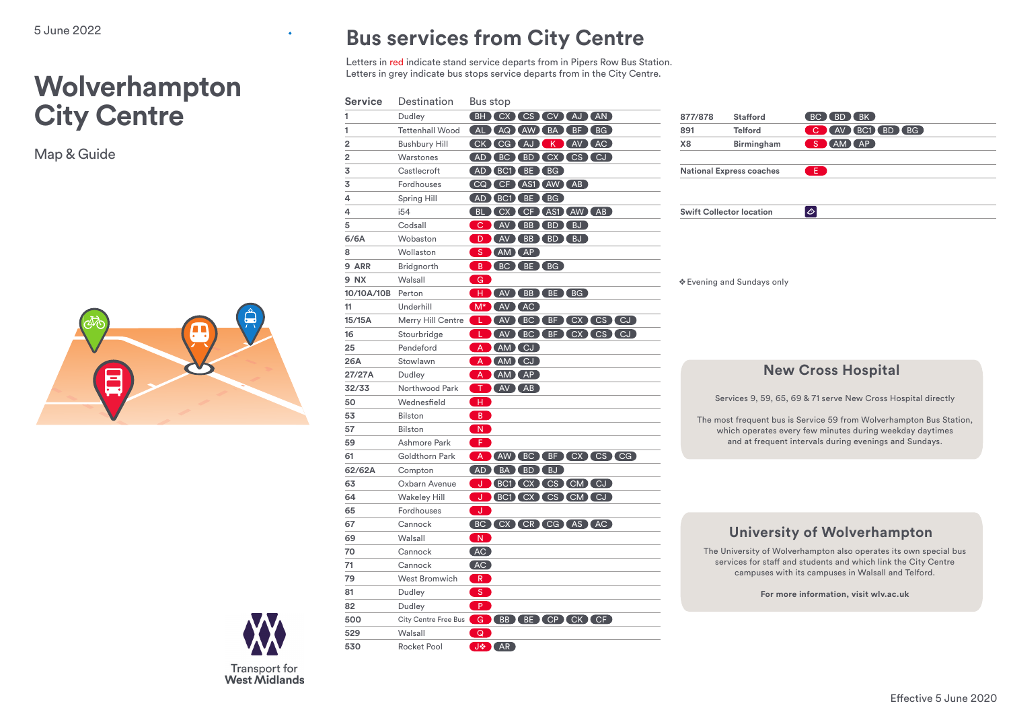# **Wolverhampton City Centre**

Map& Guide





٠

## **Bus services from City Centre**

Letters in red indicate stand service departs from in Pipers Row Bus Station. Letters in grey indicate bus stops service departs from in the City Centre.

| Service        | Destination            | Bus stop                              |
|----------------|------------------------|---------------------------------------|
| 1              | Dudley                 | (BH) CX CS CV (AJ (AN)                |
| 1              | <b>Tettenhall Wood</b> | (AL AQ AW BA BF BG)                   |
| 2              | <b>Bushbury Hill</b>   | CK CG AJ K AV AC                      |
| $\overline{2}$ | Warstones              | (AD BC BD CX CS CJ)                   |
| 3              | Castlecroft            | AD BC1 BE BG                          |
| 3              | Fordhouses             | CQ CF AS1 AW AB                       |
| 4              | Spring Hill            | (AD BC1) BE BG                        |
| 4              | i54                    | BL CX CF AS1 AW AB                    |
| 5              | Codsall                | C (AV (BB (BD (BJ)                    |
| 6/6A           | Wobaston               | D (AV (BB (BD (BJ)                    |
| 8              | Wollaston              | S AM AP                               |
| 9 ARR          | Bridgnorth             | B (BC (BE (BG)                        |
| <b>9 NX</b>    | Walsall                | G                                     |
| 10/10A/10B     | Perton                 | H (AV BB BE BG)                       |
| 11             | Underhill              | M <sup>*</sup> (AV (AC )              |
| 15/15A         | Merry Hill Centre      | LAVEC BF CX CS CJ                     |
| 16             | Stourbridge            | AV BC BF CX CS CJ<br>- L -            |
| 25             | Pendeford              | A AM CJ                               |
| 26A            | Stowlawn               | A AM CJ                               |
| 27/27A         | Dudley                 | A (AM) (AP)                           |
| 32/33          | Northwood Park         | T AV AB                               |
| 50             | Wednesfield            | - H - J                               |
| 53             | <b>Bilston</b>         | $\overline{B}$                        |
| 57             | <b>Bilston</b>         | $\vert N \vert$                       |
| 59             | Ashmore Park           | ŒÐ                                    |
| 61             | Goldthorn Park         | A (AW) BC BF CX CS CG                 |
| 62/62A         | Compton                | (AD) BA (BD) BJ)                      |
| 63             | Oxbarn Avenue          | J BC1 CX CS CM CJ                     |
| 64             | <b>Wakeley Hill</b>    | J BC1 CX CS CM CJ                     |
| 65             | Fordhouses             | ါပေါ                                  |
| 67             | Cannock                | BC CX CR CG AS AC                     |
| 69             | Walsall                | $\boxed{\mathsf{N}}$                  |
| 70             | Cannock                | (AC)                                  |
| 71             | Cannock                | (AC)                                  |
| 79             | <b>West Bromwich</b>   | $R_{\odot}$                           |
| 81             | Dudley                 | S                                     |
| 82             | Dudley                 | $\blacksquare$                        |
| 500            |                        | City Centre Free Bus G BB BE CP CK CF |
| 529            | Walsall                | Q                                     |
| 530            | Rocket Pool            | J AR                                  |

877/878 Stafford BC BD BK **891 Telford C AV BC1 BD BG X8 Birmingham** S AM AP **National Express coaches Swift Collector location**  $|\diamond|$ ❖ Evening and Sundays only

#### **New Cross Hospital**

Services 9, 59, 65, 69 & 71 serve New Cross Hospital directly

The most frequent bus is Service 59 from Wolverhampton Bus Station, which operates every few minutes during weekday daytimes and at frequent intervals during evenings and Sundays.

### **University of Wolverhampton**

The University of Wolverhampton also operates its own special bus services for staff and students and which link the City Centre campuses with its campuses in Walsall and Telford.

**For more information, visit wlv.ac.uk**